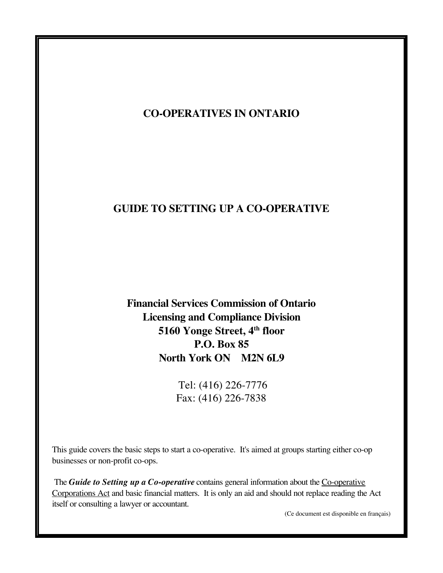# **CO-OPERATIVES IN ONTARIO**

# **GUIDE TO SETTING UP A CO-OPERATIVE**

**Financial Services Commission of Ontario Licensing and Compliance Division 5160 Yonge Street, 4th floor P.O. Box 85 North York ON M2N 6L9**

> Tel: (416) 226-7776 Fax: (416) 226-7838

This guide covers the basic steps to start a co-operative. It's aimed at groups starting either co-op businesses or non-profit co-ops.

The **Guide to Setting up a Co-operative** contains general information about the Co-operative Corporations Act and basic financial matters. It is only an aid and should not replace reading the Act itself or consulting a lawyer or accountant.

(Ce document est disponible en français)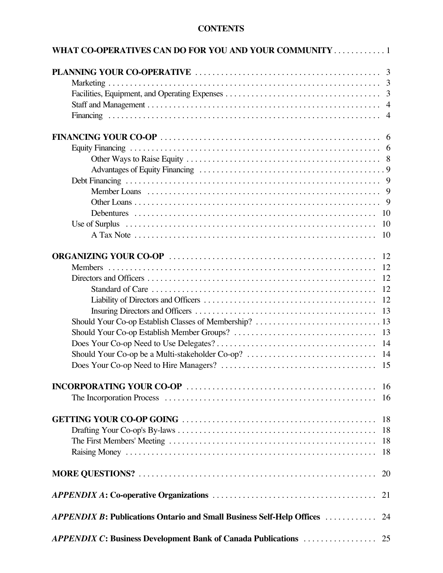# **CONTENTS**

| WHAT CO-OPERATIVES CAN DO FOR YOU AND YOUR COMMUNITY 1                        |     |
|-------------------------------------------------------------------------------|-----|
|                                                                               |     |
|                                                                               |     |
|                                                                               |     |
|                                                                               |     |
|                                                                               |     |
|                                                                               |     |
|                                                                               |     |
|                                                                               |     |
|                                                                               |     |
|                                                                               |     |
|                                                                               |     |
|                                                                               |     |
|                                                                               |     |
|                                                                               |     |
|                                                                               |     |
|                                                                               |     |
|                                                                               |     |
|                                                                               |     |
|                                                                               |     |
|                                                                               |     |
|                                                                               |     |
|                                                                               |     |
|                                                                               |     |
|                                                                               |     |
|                                                                               |     |
|                                                                               |     |
|                                                                               |     |
|                                                                               |     |
|                                                                               | -16 |
|                                                                               | 16  |
|                                                                               |     |
|                                                                               | 18  |
|                                                                               | 18  |
|                                                                               | 18  |
|                                                                               | 18  |
|                                                                               | 20  |
|                                                                               | 21  |
| <b>APPENDIX B: Publications Ontario and Small Business Self-Help Offices </b> | 24  |
| <b>APPENDIX C: Business Development Bank of Canada Publications </b>          | 25  |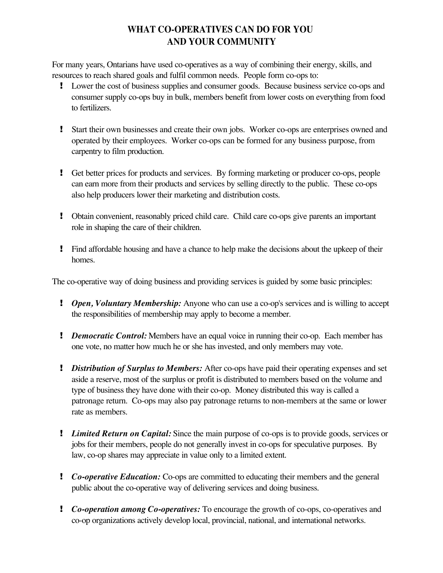# **WHAT CO-OPERATIVES CAN DO FOR YOU AND YOUR COMMUNITY**

For many years, Ontarians have used co-operatives as a way of combining their energy, skills, and resources to reach shared goals and fulfil common needs. People form co-ops to:

- ! Lower the cost of business supplies and consumer goods. Because business service co-ops and consumer supply co-ops buy in bulk, members benefit from lower costs on everything from food to fertilizers.
- ! Start their own businesses and create their own jobs. Worker co-ops are enterprises owned and operated by their employees. Worker co-ops can be formed for any business purpose, from carpentry to film production.
- ! Get better prices for products and services. By forming marketing or producer co-ops, people can earn more from their products and services by selling directly to the public. These co-ops also help producers lower their marketing and distribution costs.
- ! Obtain convenient, reasonably priced child care. Child care co-ops give parents an important role in shaping the care of their children.
- ! Find affordable housing and have a chance to help make the decisions about the upkeep of their homes.

The co-operative way of doing business and providing services is guided by some basic principles:

- ! *Open, Voluntary Membership:* Anyone who can use a co-op's services and is willing to accept the responsibilities of membership may apply to become a member.
- *Pemocratic Control:* Members have an equal voice in running their co-op. Each member has one vote, no matter how much he or she has invested, and only members may vote.
- *Distribution of Surplus to Members:* After co-ops have paid their operating expenses and set aside a reserve, most of the surplus or profit is distributed to members based on the volume and type of business they have done with their co-op. Money distributed this way is called a patronage return. Co-ops may also pay patronage returns to non-members at the same or lower rate as members.
- ! *Limited Return on Capital:* Since the main purpose of co-ops is to provide goods, services or jobs for their members, people do not generally invest in co-ops for speculative purposes. By law, co-op shares may appreciate in value only to a limited extent.
- ! *Co-operative Education:* Co-ops are committed to educating their members and the general public about the co-operative way of delivering services and doing business.
- ! *Co-operation among Co-operatives:* To encourage the growth of co-ops, co-operatives and co-op organizations actively develop local, provincial, national, and international networks.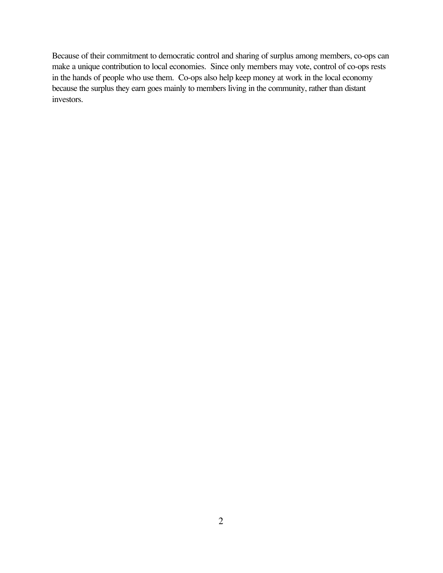Because of their commitment to democratic control and sharing of surplus among members, co-ops can make a unique contribution to local economies. Since only members may vote, control of co-ops rests in the hands of people who use them. Co-ops also help keep money at work in the local economy because the surplus they earn goes mainly to members living in the community, rather than distant investors.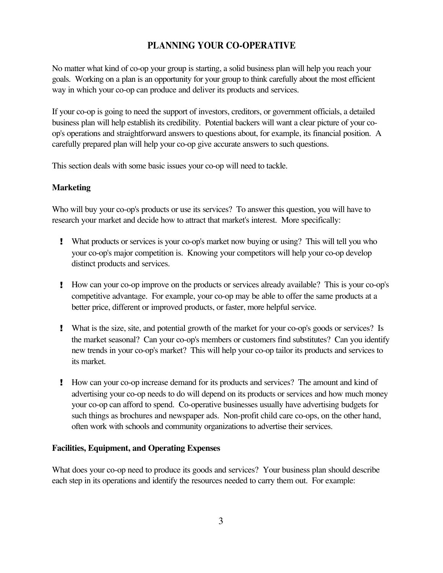# **PLANNING YOUR CO-OPERATIVE**

No matter what kind of co-op your group is starting, a solid business plan will help you reach your goals. Working on a plan is an opportunity for your group to think carefully about the most efficient way in which your co-op can produce and deliver its products and services.

If your co-op is going to need the support of investors, creditors, or government officials, a detailed business plan will help establish its credibility. Potential backers will want a clear picture of your coop's operations and straightforward answers to questions about, for example, its financial position. A carefully prepared plan will help your co-op give accurate answers to such questions.

This section deals with some basic issues your co-op will need to tackle.

## **Marketing**

Who will buy your co-op's products or use its services? To answer this question, you will have to research your market and decide how to attract that market's interest. More specifically:

- ! What products or services is your co-op's market now buying or using? This will tell you who your co-op's major competition is. Knowing your competitors will help your co-op develop distinct products and services.
- ! How can your co-op improve on the products or services already available? This is your co-op's competitive advantage. For example, your co-op may be able to offer the same products at a better price, different or improved products, or faster, more helpful service.
- ! What is the size, site, and potential growth of the market for your co-op's goods or services? Is the market seasonal? Can your co-op's members or customers find substitutes? Can you identify new trends in your co-op's market? This will help your co-op tailor its products and services to its market.
- ! How can your co-op increase demand for its products and services? The amount and kind of advertising your co-op needs to do will depend on its products or services and how much money your co-op can afford to spend. Co-operative businesses usually have advertising budgets for such things as brochures and newspaper ads. Non-profit child care co-ops, on the other hand, often work with schools and community organizations to advertise their services.

### **Facilities, Equipment, and Operating Expenses**

What does your co-op need to produce its goods and services? Your business plan should describe each step in its operations and identify the resources needed to carry them out. For example: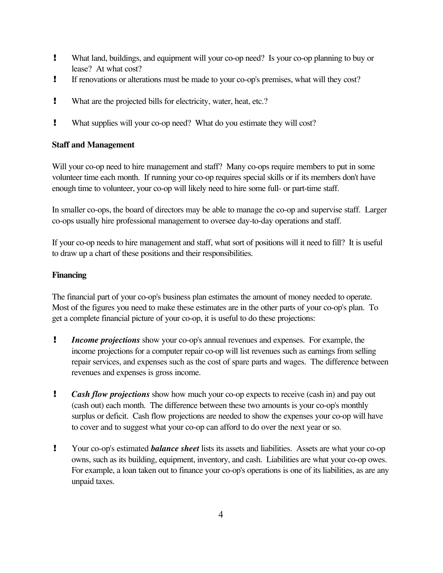- ! What land, buildings, and equipment will your co-op need? Is your co-op planning to buy or lease? At what cost?
- ! If renovations or alterations must be made to your co-op's premises, what will they cost?
- ! What are the projected bills for electricity, water, heat, etc.?
- ! What supplies will your co-op need? What do you estimate they will cost?

## **Staff and Management**

Will your co-op need to hire management and staff? Many co-ops require members to put in some volunteer time each month. If running your co-op requires special skills or if its members don't have enough time to volunteer, your co-op will likely need to hire some full- or part-time staff.

In smaller co-ops, the board of directors may be able to manage the co-op and supervise staff. Larger co-ops usually hire professional management to oversee day-to-day operations and staff.

If your co-op needs to hire management and staff, what sort of positions will it need to fill? It is useful to draw up a chart of these positions and their responsibilities.

## **Financing**

The financial part of your co-op's business plan estimates the amount of money needed to operate. Most of the figures you need to make these estimates are in the other parts of your co-op's plan. To get a complete financial picture of your co-op, it is useful to do these projections:

- ! *Income projections* show your co-op's annual revenues and expenses. For example, the income projections for a computer repair co-op will list revenues such as earnings from selling repair services, and expenses such as the cost of spare parts and wages. The difference between revenues and expenses is gross income.
- ! *Cash flow projections* show how much your co-op expects to receive (cash in) and pay out (cash out) each month. The difference between these two amounts is your co-op's monthly surplus or deficit. Cash flow projections are needed to show the expenses your co-op will have to cover and to suggest what your co-op can afford to do over the next year or so.
- ! Your co-op's estimated *balance sheet* lists its assets and liabilities. Assets are what your co-op owns, such as its building, equipment, inventory, and cash. Liabilities are what your co-op owes. For example, a loan taken out to finance your co-op's operations is one of its liabilities, as are any unpaid taxes.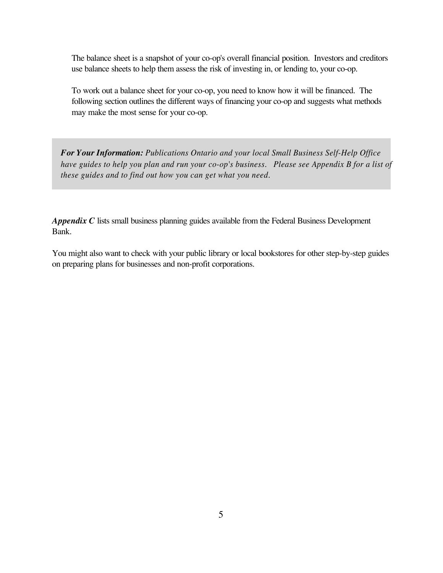The balance sheet is a snapshot of your co-op's overall financial position. Investors and creditors use balance sheets to help them assess the risk of investing in, or lending to, your co-op.

To work out a balance sheet for your co-op, you need to know how it will be financed. The following section outlines the different ways of financing your co-op and suggests what methods may make the most sense for your co-op.

*For Your Information: Publications Ontario and your local Small Business Self-Help Office* have guides to help you plan and run your co-op's business. Please see Appendix B for a list of *these guides and to find out how you can get what you need.*

*Appendix C* lists small business planning guides available from the Federal Business Development Bank.

You might also want to check with your public library or local bookstores for other step-by-step guides on preparing plans for businesses and non-profit corporations.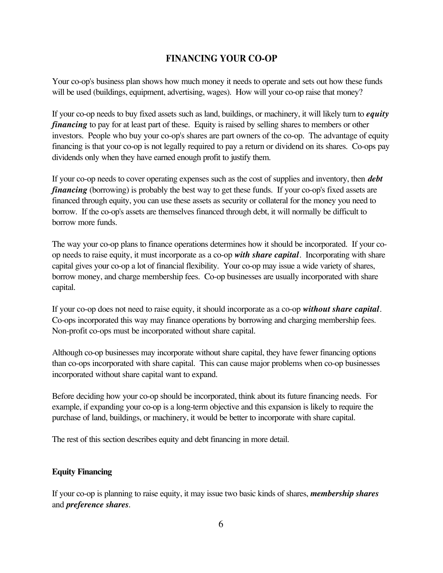# **FINANCING YOUR CO-OP**

Your co-op's business plan shows how much money it needs to operate and sets out how these funds will be used (buildings, equipment, advertising, wages). How will your co-op raise that money?

If your co-op needs to buy fixed assets such as land, buildings, or machinery, it will likely turn to *equity financing* to pay for at least part of these. Equity is raised by selling shares to members or other investors. People who buy your co-op's shares are part owners of the co-op. The advantage of equity financing is that your co-op is not legally required to pay a return or dividend on its shares. Co-ops pay dividends only when they have earned enough profit to justify them.

If your co-op needs to cover operating expenses such as the cost of supplies and inventory, then *debt financing* (borrowing) is probably the best way to get these funds. If your co-op's fixed assets are financed through equity, you can use these assets as security or collateral for the money you need to borrow. If the co-op's assets are themselves financed through debt, it will normally be difficult to borrow more funds.

The way your co-op plans to finance operations determines how it should be incorporated. If your coop needs to raise equity, it must incorporate as a co-op *with share capital*. Incorporating with share capital gives your co-op a lot of financial flexibility. Your co-op may issue a wide variety of shares, borrow money, and charge membership fees. Co-op businesses are usually incorporated with share capital.

If your co-op does not need to raise equity, it should incorporate as a co-op *without share capital*. Co-ops incorporated this way may finance operations by borrowing and charging membership fees. Non-profit co-ops must be incorporated without share capital.

Although co-op businesses may incorporate without share capital, they have fewer financing options than co-ops incorporated with share capital. This can cause major problems when co-op businesses incorporated without share capital want to expand.

Before deciding how your co-op should be incorporated, think about its future financing needs. For example, if expanding your co-op is a long-term objective and this expansion is likely to require the purchase of land, buildings, or machinery, it would be better to incorporate with share capital.

The rest of this section describes equity and debt financing in more detail.

## **Equity Financing**

If your co-op is planning to raise equity, it may issue two basic kinds of shares, *membership shares* and *preference shares*.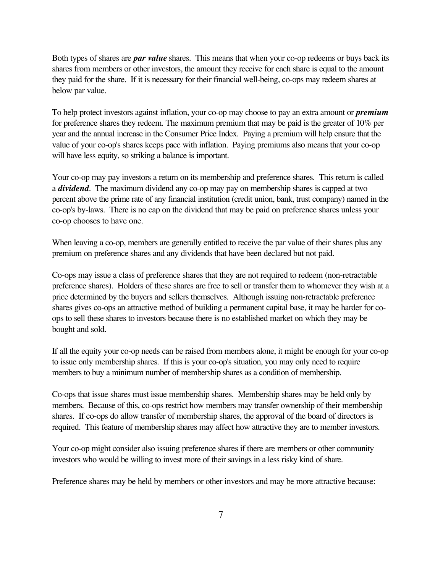Both types of shares are *par value* shares. This means that when your co-op redeems or buys back its shares from members or other investors, the amount they receive for each share is equal to the amount they paid for the share. If it is necessary for their financial well-being, co-ops may redeem shares at below par value.

To help protect investors against inflation, your co-op may choose to pay an extra amount or *premium* for preference shares they redeem. The maximum premium that may be paid is the greater of 10% per year and the annual increase in the Consumer Price Index. Paying a premium will help ensure that the value of your co-op's shares keeps pace with inflation. Paying premiums also means that your co-op will have less equity, so striking a balance is important.

Your co-op may pay investors a return on its membership and preference shares. This return is called a *dividend*. The maximum dividend any co-op may pay on membership shares is capped at two percent above the prime rate of any financial institution (credit union, bank, trust company) named in the co-op's by-laws. There is no cap on the dividend that may be paid on preference shares unless your co-op chooses to have one.

When leaving a co-op, members are generally entitled to receive the par value of their shares plus any premium on preference shares and any dividends that have been declared but not paid.

Co-ops may issue a class of preference shares that they are not required to redeem (non-retractable preference shares). Holders of these shares are free to sell or transfer them to whomever they wish at a price determined by the buyers and sellers themselves. Although issuing non-retractable preference shares gives co-ops an attractive method of building a permanent capital base, it may be harder for coops to sell these shares to investors because there is no established market on which they may be bought and sold.

If all the equity your co-op needs can be raised from members alone, it might be enough for your co-op to issue only membership shares. If this is your co-op's situation, you may only need to require members to buy a minimum number of membership shares as a condition of membership.

Co-ops that issue shares must issue membership shares. Membership shares may be held only by members. Because of this, co-ops restrict how members may transfer ownership of their membership shares. If co-ops do allow transfer of membership shares, the approval of the board of directors is required. This feature of membership shares may affect how attractive they are to member investors.

Your co-op might consider also issuing preference shares if there are members or other community investors who would be willing to invest more of their savings in a less risky kind of share.

Preference shares may be held by members or other investors and may be more attractive because: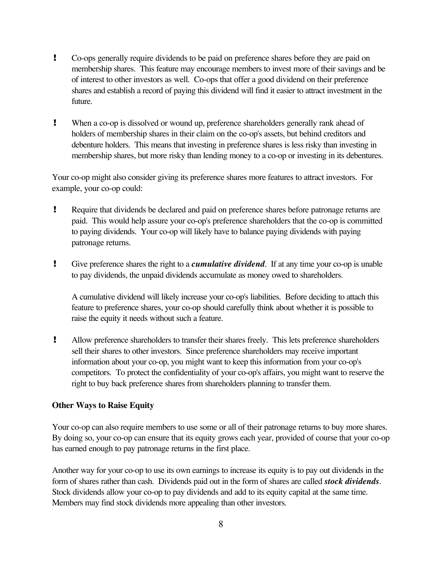- ! Co-ops generally require dividends to be paid on preference shares before they are paid on membership shares. This feature may encourage members to invest more of their savings and be of interest to other investors as well. Co-ops that offer a good dividend on their preference shares and establish a record of paying this dividend will find it easier to attract investment in the future.
- ! When a co-op is dissolved or wound up, preference shareholders generally rank ahead of holders of membership shares in their claim on the co-op's assets, but behind creditors and debenture holders. This means that investing in preference shares is less risky than investing in membership shares, but more risky than lending money to a co-op or investing in its debentures.

Your co-op might also consider giving its preference shares more features to attract investors. For example, your co-op could:

- ! Require that dividends be declared and paid on preference shares before patronage returns are paid. This would help assure your co-op's preference shareholders that the co-op is committed to paying dividends. Your co-op will likely have to balance paying dividends with paying patronage returns.
- ! Give preference shares the right to a *cumulative dividend*. If at any time your co-op is unable to pay dividends, the unpaid dividends accumulate as money owed to shareholders.

A cumulative dividend will likely increase your co-op's liabilities. Before deciding to attach this feature to preference shares, your co-op should carefully think about whether it is possible to raise the equity it needs without such a feature.

! Allow preference shareholders to transfer their shares freely. This lets preference shareholders sell their shares to other investors. Since preference shareholders may receive important information about your co-op, you might want to keep this information from your co-op's competitors. To protect the confidentiality of your co-op's affairs, you might want to reserve the right to buy back preference shares from shareholders planning to transfer them.

## **Other Ways to Raise Equity**

Your co-op can also require members to use some or all of their patronage returns to buy more shares. By doing so, your co-op can ensure that its equity grows each year, provided of course that your co-op has earned enough to pay patronage returns in the first place.

Another way for your co-op to use its own earnings to increase its equity is to pay out dividends in the form of shares rather than cash. Dividends paid out in the form of shares are called *stock dividends*. Stock dividends allow your co-op to pay dividends and add to its equity capital at the same time. Members may find stock dividends more appealing than other investors.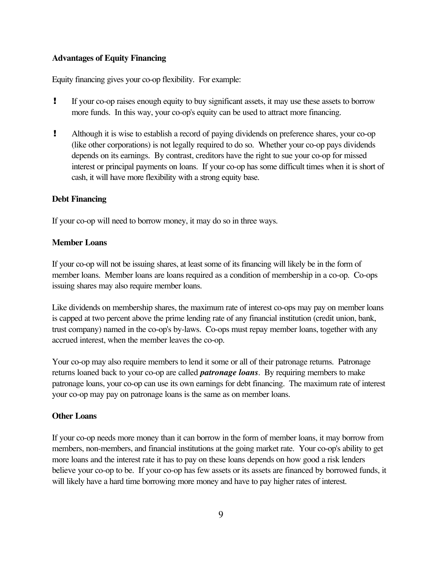### **Advantages of Equity Financing**

Equity financing gives your co-op flexibility. For example:

- ! If your co-op raises enough equity to buy significant assets, it may use these assets to borrow more funds. In this way, your co-op's equity can be used to attract more financing.
- ! Although it is wise to establish a record of paying dividends on preference shares, your co-op (like other corporations) is not legally required to do so. Whether your co-op pays dividends depends on its earnings. By contrast, creditors have the right to sue your co-op for missed interest or principal payments on loans. If your co-op has some difficult times when it is short of cash, it will have more flexibility with a strong equity base.

### **Debt Financing**

If your co-op will need to borrow money, it may do so in three ways.

### **Member Loans**

If your co-op will not be issuing shares, at least some of its financing will likely be in the form of member loans. Member loans are loans required as a condition of membership in a co-op. Co-ops issuing shares may also require member loans.

Like dividends on membership shares, the maximum rate of interest co-ops may pay on member loans is capped at two percent above the prime lending rate of any financial institution (credit union, bank, trust company) named in the co-op's by-laws. Co-ops must repay member loans, together with any accrued interest, when the member leaves the co-op.

Your co-op may also require members to lend it some or all of their patronage returns. Patronage returns loaned back to your co-op are called *patronage loans*. By requiring members to make patronage loans, your co-op can use its own earnings for debt financing. The maximum rate of interest your co-op may pay on patronage loans is the same as on member loans.

### **Other Loans**

If your co-op needs more money than it can borrow in the form of member loans, it may borrow from members, non-members, and financial institutions at the going market rate. Your co-op's ability to get more loans and the interest rate it has to pay on these loans depends on how good a risk lenders believe your co-op to be. If your co-op has few assets or its assets are financed by borrowed funds, it will likely have a hard time borrowing more money and have to pay higher rates of interest.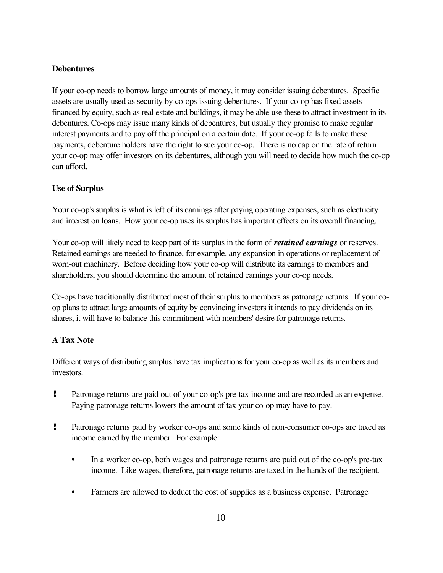## **Debentures**

If your co-op needs to borrow large amounts of money, it may consider issuing debentures. Specific assets are usually used as security by co-ops issuing debentures. If your co-op has fixed assets financed by equity, such as real estate and buildings, it may be able use these to attract investment in its debentures. Co-ops may issue many kinds of debentures, but usually they promise to make regular interest payments and to pay off the principal on a certain date. If your co-op fails to make these payments, debenture holders have the right to sue your co-op. There is no cap on the rate of return your co-op may offer investors on its debentures, although you will need to decide how much the co-op can afford.

# **Use of Surplus**

Your co-op's surplus is what is left of its earnings after paying operating expenses, such as electricity and interest on loans. How your co-op uses its surplus has important effects on its overall financing.

Your co-op will likely need to keep part of its surplus in the form of *retained earnings* or reserves. Retained earnings are needed to finance, for example, any expansion in operations or replacement of worn-out machinery. Before deciding how your co-op will distribute its earnings to members and shareholders, you should determine the amount of retained earnings your co-op needs.

Co-ops have traditionally distributed most of their surplus to members as patronage returns. If your coop plans to attract large amounts of equity by convincing investors it intends to pay dividends on its shares, it will have to balance this commitment with members' desire for patronage returns.

# **A Tax Note**

Different ways of distributing surplus have tax implications for your co-op as well as its members and investors.

- ! Patronage returns are paid out of your co-op's pre-tax income and are recorded as an expense. Paying patronage returns lowers the amount of tax your co-op may have to pay.
- ! Patronage returns paid by worker co-ops and some kinds of non-consumer co-ops are taxed as income earned by the member. For example:
	- In a worker co-op, both wages and patronage returns are paid out of the co-op's pre-tax income. Like wages, therefore, patronage returns are taxed in the hands of the recipient.
	- Farmers are allowed to deduct the cost of supplies as a business expense. Patronage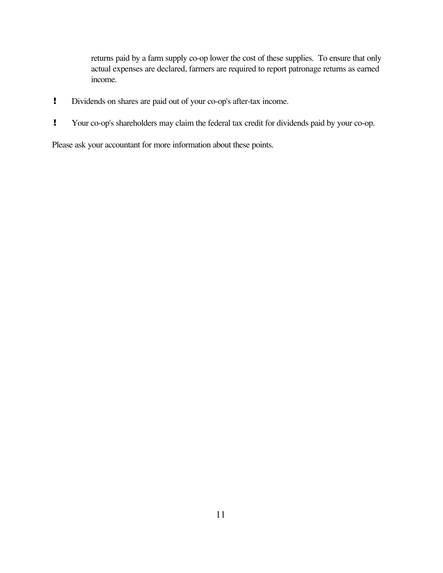returns paid by a farm supply co-op lower the cost of these supplies. To ensure that only actual expenses are declared, farmers are required to report patronage returns as earned income.

- ! Dividends on shares are paid out of your co-op's after-tax income.
- ! Your co-op's shareholders may claim the federal tax credit for dividends paid by your co-op.

Please ask your accountant for more information about these points.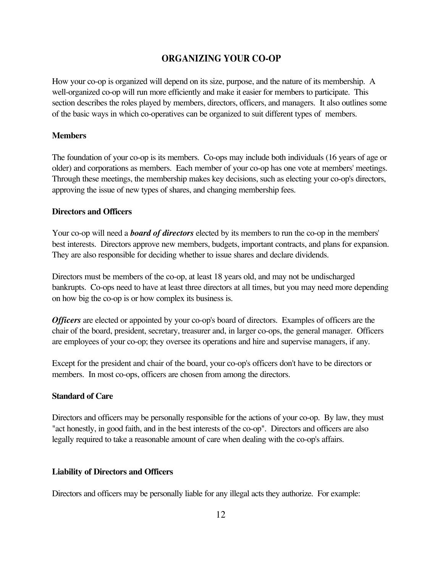# **ORGANIZING YOUR CO-OP**

How your co-op is organized will depend on its size, purpose, and the nature of its membership. A well-organized co-op will run more efficiently and make it easier for members to participate. This section describes the roles played by members, directors, officers, and managers. It also outlines some of the basic ways in which co-operatives can be organized to suit different types of members.

#### **Members**

The foundation of your co-op is its members. Co-ops may include both individuals (16 years of age or older) and corporations as members. Each member of your co-op has one vote at members' meetings. Through these meetings, the membership makes key decisions, such as electing your co-op's directors, approving the issue of new types of shares, and changing membership fees.

#### **Directors and Officers**

Your co-op will need a *board of directors* elected by its members to run the co-op in the members' best interests. Directors approve new members, budgets, important contracts, and plans for expansion. They are also responsible for deciding whether to issue shares and declare dividends.

Directors must be members of the co-op, at least 18 years old, and may not be undischarged bankrupts. Co-ops need to have at least three directors at all times, but you may need more depending on how big the co-op is or how complex its business is.

*Officers* are elected or appointed by your co-op's board of directors. Examples of officers are the chair of the board, president, secretary, treasurer and, in larger co-ops, the general manager. Officers are employees of your co-op; they oversee its operations and hire and supervise managers, if any.

Except for the president and chair of the board, your co-op's officers don't have to be directors or members. In most co-ops, officers are chosen from among the directors.

#### **Standard of Care**

Directors and officers may be personally responsible for the actions of your co-op. By law, they must "act honestly, in good faith, and in the best interests of the co-op". Directors and officers are also legally required to take a reasonable amount of care when dealing with the co-op's affairs.

#### **Liability of Directors and Officers**

Directors and officers may be personally liable for any illegal acts they authorize. For example: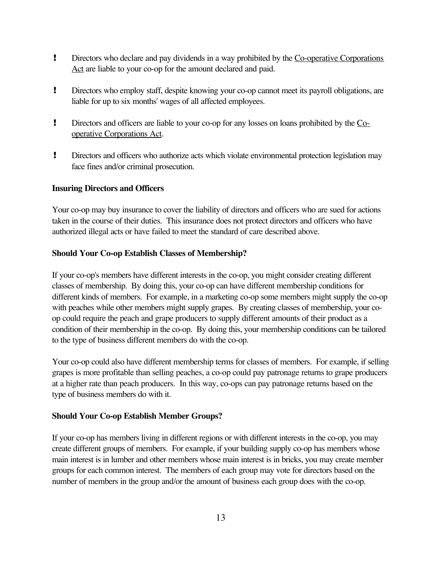- **EXECUTE:** Directors who declare and pay dividends in a way prohibited by the Co-operative Corporations Act are liable to your co-op for the amount declared and paid.
- ! Directors who employ staff, despite knowing your co-op cannot meet its payroll obligations, are liable for up to six months' wages of all affected employees.
- **Produce 1** Directors and officers are liable to your co-op for any losses on loans prohibited by the Cooperative Corporations Act.
- ! Directors and officers who authorize acts which violate environmental protection legislation may face fines and/or criminal prosecution.

# **Insuring Directors and Officers**

Your co-op may buy insurance to cover the liability of directors and officers who are sued for actions taken in the course of their duties. This insurance does not protect directors and officers who have authorized illegal acts or have failed to meet the standard of care described above.

# **Should Your Co-op Establish Classes of Membership?**

If your co-op's members have different interests in the co-op, you might consider creating different classes of membership. By doing this, your co-op can have different membership conditions for different kinds of members. For example, in a marketing co-op some members might supply the co-op with peaches while other members might supply grapes. By creating classes of membership, your coop could require the peach and grape producers to supply different amounts of their product as a condition of their membership in the co-op. By doing this, your membership conditions can be tailored to the type of business different members do with the co-op.

Your co-op could also have different membership terms for classes of members. For example, if selling grapes is more profitable than selling peaches, a co-op could pay patronage returns to grape producers at a higher rate than peach producers. In this way, co-ops can pay patronage returns based on the type of business members do with it.

# **Should Your Co-op Establish Member Groups?**

If your co-op has members living in different regions or with different interests in the co-op, you may create different groups of members. For example, if your building supply co-op has members whose main interest is in lumber and other members whose main interest is in bricks, you may create member groups for each common interest. The members of each group may vote for directors based on the number of members in the group and/or the amount of business each group does with the co-op.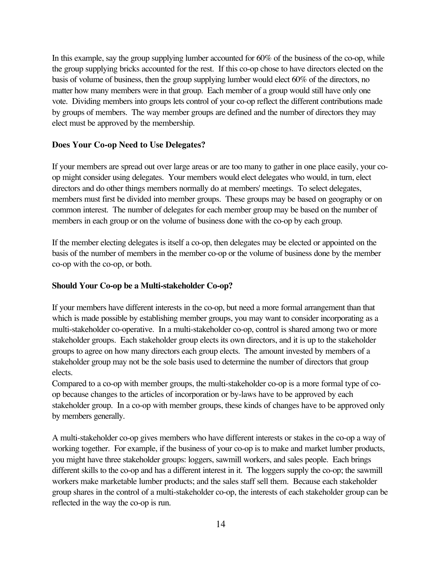In this example, say the group supplying lumber accounted for 60% of the business of the co-op, while the group supplying bricks accounted for the rest. If this co-op chose to have directors elected on the basis of volume of business, then the group supplying lumber would elect 60% of the directors, no matter how many members were in that group. Each member of a group would still have only one vote. Dividing members into groups lets control of your co-op reflect the different contributions made by groups of members. The way member groups are defined and the number of directors they may elect must be approved by the membership.

#### **Does Your Co-op Need to Use Delegates?**

If your members are spread out over large areas or are too many to gather in one place easily, your coop might consider using delegates. Your members would elect delegates who would, in turn, elect directors and do other things members normally do at members' meetings. To select delegates, members must first be divided into member groups. These groups may be based on geography or on common interest. The number of delegates for each member group may be based on the number of members in each group or on the volume of business done with the co-op by each group.

If the member electing delegates is itself a co-op, then delegates may be elected or appointed on the basis of the number of members in the member co-op or the volume of business done by the member co-op with the co-op, or both.

#### **Should Your Co-op be a Multi-stakeholder Co-op?**

If your members have different interests in the co-op, but need a more formal arrangement than that which is made possible by establishing member groups, you may want to consider incorporating as a multi-stakeholder co-operative. In a multi-stakeholder co-op, control is shared among two or more stakeholder groups. Each stakeholder group elects its own directors, and it is up to the stakeholder groups to agree on how many directors each group elects. The amount invested by members of a stakeholder group may not be the sole basis used to determine the number of directors that group elects.

Compared to a co-op with member groups, the multi-stakeholder co-op is a more formal type of coop because changes to the articles of incorporation or by-laws have to be approved by each stakeholder group. In a co-op with member groups, these kinds of changes have to be approved only by members generally.

A multi-stakeholder co-op gives members who have different interests or stakes in the co-op a way of working together. For example, if the business of your co-op is to make and market lumber products, you might have three stakeholder groups: loggers, sawmill workers, and sales people. Each brings different skills to the co-op and has a different interest in it. The loggers supply the co-op; the sawmill workers make marketable lumber products; and the sales staff sell them. Because each stakeholder group shares in the control of a multi-stakeholder co-op, the interests of each stakeholder group can be reflected in the way the co-op is run.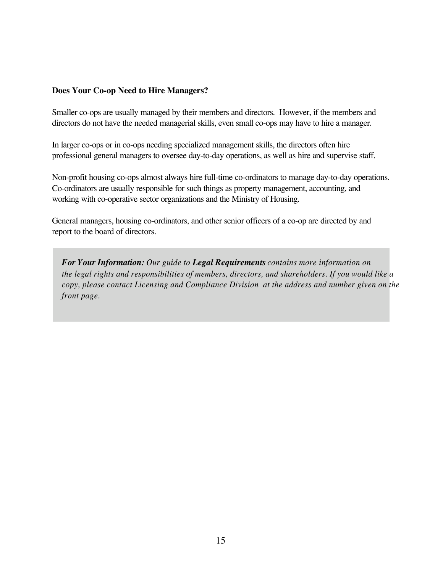## **Does Your Co-op Need to Hire Managers?**

Smaller co-ops are usually managed by their members and directors. However, if the members and directors do not have the needed managerial skills, even small co-ops may have to hire a manager.

In larger co-ops or in co-ops needing specialized management skills, the directors often hire professional general managers to oversee day-to-day operations, as well as hire and supervise staff.

Non-profit housing co-ops almost always hire full-time co-ordinators to manage day-to-day operations. Co-ordinators are usually responsible for such things as property management, accounting, and working with co-operative sector organizations and the Ministry of Housing.

General managers, housing co-ordinators, and other senior officers of a co-op are directed by and report to the board of directors.

*For Your Information: Our guide to Legal Requirements contains more information on the legal rights and responsibilities of members, directors, and shareholders. If you would like a copy, please contact Licensing and Compliance Division at the address and number given on the front page.*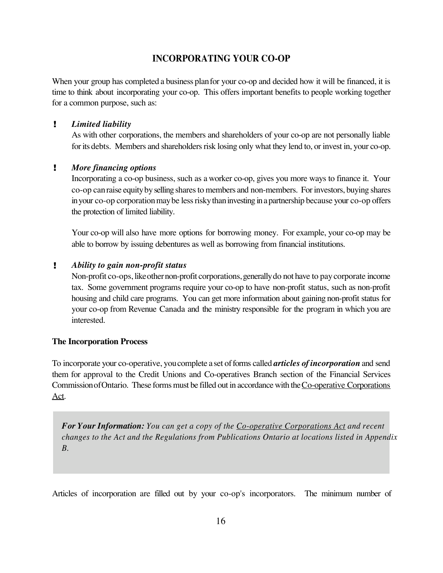# **INCORPORATING YOUR CO-OP**

When your group has completed a business plan for your co-op and decided how it will be financed, it is time to think about incorporating your co-op. This offers important benefits to people working together for a common purpose, such as:

### ! *Limited liability*

As with other corporations, the members and shareholders of your co-op are not personally liable for its debts. Members and shareholders risk losing only what they lend to, or invest in, your co-op.

## ! *More financing options*

Incorporating a co-op business, such as a worker co-op, gives you more ways to finance it. Your co-op can raise equity by selling shares to members and non-members. For investors, buying shares in your co-op corporation may be less risky than investing in a partnership because your co-op offers the protection of limited liability.

Your co-op will also have more options for borrowing money. For example, your co-op may be able to borrow by issuing debentures as well as borrowing from financial institutions.

### ! *Ability to gain non-profit status*

Non-profit co-ops, like other non-profit corporations, generally do not have to pay corporate income tax. Some government programs require your co-op to have non-profit status, such as non-profit housing and child care programs. You can get more information about gaining non-profit status for your co-op from Revenue Canada and the ministry responsible for the program in which you are interested.

### **The Incorporation Process**

To incorporate your co-operative, youcomplete a set offorms called *articles of incorporation* and send them for approval to the Credit Unions and Co-operatives Branch section of the Financial Services Commission of Ontario. These forms must be filled out in accordance with the Co-operative Corporations Act.

*For Your Information: You can get a copy of the Co-operative Corporations Act and recent changes to the Act and the Regulations from Publications Ontario at locations listed in Appendix B.*

Articles of incorporation are filled out by your co-op's incorporators. The minimum number of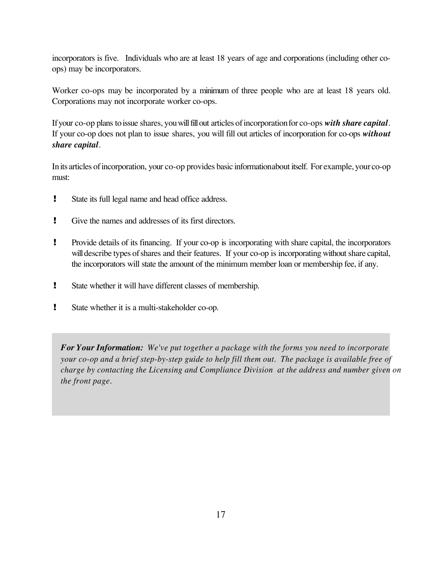incorporators is five. Individuals who are at least 18 years of age and corporations (including other coops) may be incorporators.

Worker co-ops may be incorporated by a minimum of three people who are at least 18 years old. Corporations may not incorporate worker co-ops.

Ifyour co-op plans toissue shares, youwillfillout articles ofincorporationfor co-ops *with share capital*. If your co-op does not plan to issue shares, you will fill out articles of incorporation for co-ops *without share capital*.

In its articles of incorporation, your co-op provides basic informationabout itself. For example, your co-op must:

- ! State its full legal name and head office address.
- ! Give the names and addresses of its first directors.
- ! Provide details of its financing. If your co-op is incorporating with share capital, the incorporators will describe types of shares and their features. If your co-op is incorporating without share capital, the incorporators will state the amount of the minimum member loan or membership fee, if any.
- ! State whether it will have different classes of membership.
- ! State whether it is a multi-stakeholder co-op.

*For Your Information: We've put together a package with the forms you need to incorporate your co-op and a brief step-by-step guide to help fill them out. The package is available free of charge by contacting the Licensing and Compliance Division at the address and number given on the front page.*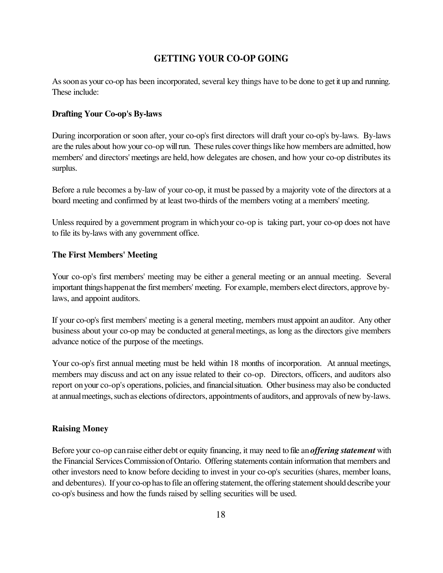# **GETTING YOUR CO-OP GOING**

Assoonas your co-op has been incorporated, several key things have to be done to get it up and running. These include:

#### **Drafting Your Co-op's By-laws**

During incorporation or soon after, your co-op's first directors will draft your co-op's by-laws. By-laws are the rules about howyour co-op willrun. These rules coverthingslike how members are admitted, how members' and directors' meetings are held, how delegates are chosen, and how your co-op distributes its surplus.

Before a rule becomes a by-law of your co-op, it must be passed by a majority vote of the directors at a board meeting and confirmed by at least two-thirds of the members voting at a members' meeting.

Unless required by a government program in whichyour co-op is taking part, your co-op does not have to file its by-laws with any government office.

#### **The First Members' Meeting**

Your co-op's first members' meeting may be either a general meeting or an annual meeting. Several important things happen at the first members' meeting. For example, members elect directors, approve bylaws, and appoint auditors.

If your co-op's first members' meeting is a general meeting, members must appoint anauditor. Any other business about your co-op may be conducted at generalmeetings, as long as the directors give members advance notice of the purpose of the meetings.

Your co-op's first annual meeting must be held within 18 months of incorporation. At annual meetings, members may discuss and act on any issue related to their co-op. Directors, officers, and auditors also report onyour co-op's operations, policies, and financialsituation. Other business may also be conducted at annual meetings, such as elections of directors, appointments of auditors, and approvals of new by-laws.

#### **Raising Money**

Before your co-op canraise either debt or equity financing, it may need to file an*offering statement* with the Financial Services Commission of Ontario. Offering statements contain information that members and other investors need to know before deciding to invest in your co-op's securities (shares, member loans, and debentures). If your co-op has to file an offering statement, the offering statement should describe your co-op's business and how the funds raised by selling securities will be used.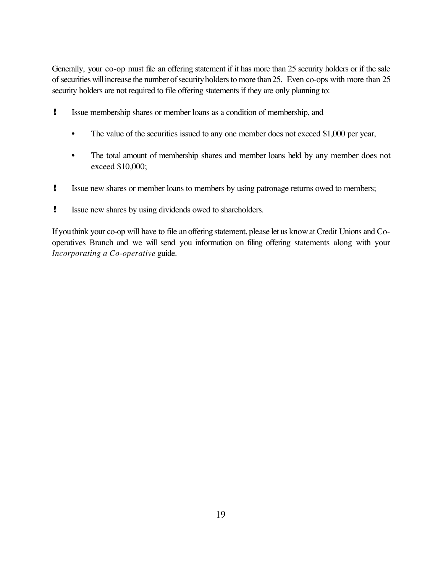Generally, your co-op must file an offering statement if it has more than 25 security holders or if the sale of securities will increase the number of security holders to more than 25. Even co-ops with more than 25 security holders are not required to file offering statements if they are only planning to:

- ! Issue membership shares or member loans as a condition of membership, and
	- The value of the securities issued to any one member does not exceed \$1,000 per year,
	- The total amount of membership shares and member loans held by any member does not exceed \$10,000;
- ! Issue new shares or member loans to members by using patronage returns owed to members;
- ! Issue new shares by using dividends owed to shareholders.

Ifyouthink your co-op will have to file anoffering statement, please let us knowat Credit Unions and Cooperatives Branch and we will send you information on filing offering statements along with your *Incorporating a Co-operative* guide.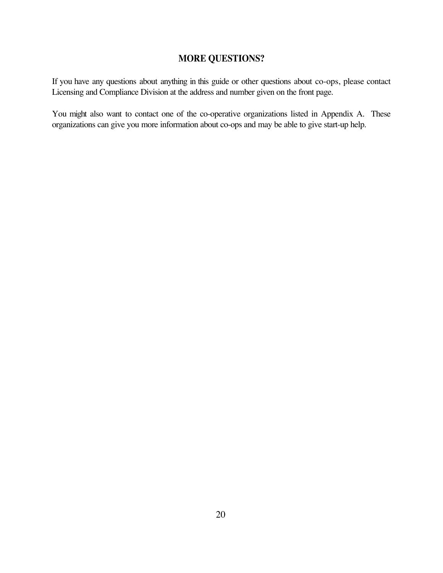# **MORE QUESTIONS?**

If you have any questions about anything in this guide or other questions about co-ops, please contact Licensing and Compliance Division at the address and number given on the front page.

You might also want to contact one of the co-operative organizations listed in Appendix A. These organizations can give you more information about co-ops and may be able to give start-up help.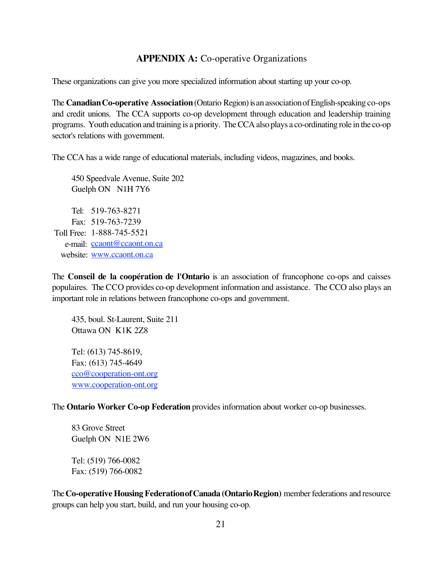# **APPENDIX A:** Co-operative Organizations

These organizations can give you more specialized information about starting up your co-op.

The **Canadian Co-operative Association** (Ontario Region) is an association of English-speaking co-ops and credit unions. The CCA supports co-op development through education and leadership training programs. Youth education and training is a priority. TheCCA also plays a co-ordinating role in the co-op sector's relations with government.

The CCA has a wide range of educational materials, including videos, magazines, and books.

450 Speedvale Avenue, Suite 202 Guelph ON N1H 7Y6

Tel: 519-763-8271 Fax: 519-763-7239 Toll Free: 1-888-745-5521 e-mail: [ccaont@ccaont.on.ca](mailto:ccaont@ccaont.on.ca) website: www.ccaont.on.ca

The **Conseil de la coopération de l'Ontario** is an association of francophone co-ops and caisses populaires. The CCO provides co-op development information and assistance. The CCO also plays an important role in relations between francophone co-ops and government.

435, boul. St-Laurent, Suite 211 Ottawa ON K1K 2Z8

Tel: (613) 745-8619, Fax: (613) 745-4649 cco@cooperation-ont.org www.cooperation-ont.org

The **Ontario Worker Co-op Federation** provides information about worker co-op businesses.

83 Grove Street Guelph ON N1E 2W6

Tel: (519) 766-0082 Fax: (519) 766-0082

The**Co-operative Housing FederationofCanada (OntarioRegion)** memberfederations and resource groups can help you start, build, and run your housing co-op.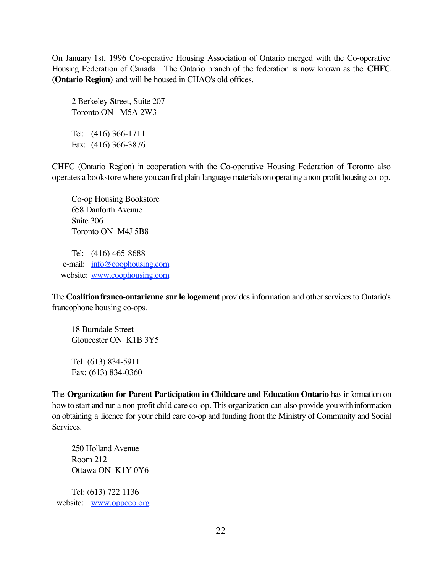On January 1st, 1996 Co-operative Housing Association of Ontario merged with the Co-operative Housing Federation of Canada. The Ontario branch of the federation is now known as the **CHFC (Ontario Region)** and will be housed in CHAO's old offices.

2 Berkeley Street, Suite 207 Toronto ON M5A 2W3 Tel: (416) 366-1711 Fax: (416) 366-3876

CHFC (Ontario Region) in cooperation with the Co-operative Housing Federation of Toronto also operates a bookstore where you can find plain-language materials on operating a non-profit housing co-op.

Co-op Housing Bookstore 658 Danforth Avenue Suite 306 Toronto ON M4J 5B8

Tel: (416) 465-8688 e-mail: [info@coophousing.com](mailto:info@coophousing.com) website: www.coophousing.com

The **Coalitionfranco-ontarienne sur le logement** provides information and other services to Ontario's francophone housing co-ops.

18 Burndale Street Gloucester ON K1B 3Y5

Tel: (613) 834-5911 Fax: (613) 834-0360

The **Organization for Parent Participation in Childcare and Education Ontario** has information on how to start and run a non-profit child care co-op. This organization can also provide you with information on obtaining a licence for your child care co-op and funding from the Ministry of Community and Social Services.

250 Holland Avenue Room 212 Ottawa ON K1Y 0Y6

Tel: (613) 722 1136 website: www.oppceo.org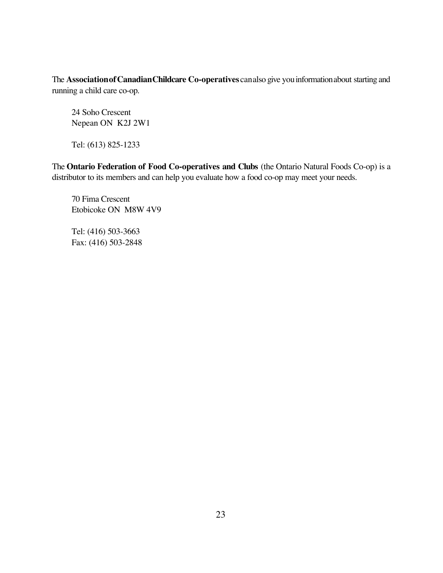The **AssociationofCanadianChildcare Co-operatives** canalso give youinformationabout starting and running a child care co-op.

24 Soho Crescent Nepean ON K2J 2W1

Tel: (613) 825-1233

The **Ontario Federation of Food Co-operatives and Clubs** (the Ontario Natural Foods Co-op) is a distributor to its members and can help you evaluate how a food co-op may meet your needs.

70 Fima Crescent Etobicoke ON M8W 4V9

Tel: (416) 503-3663 Fax: (416) 503-2848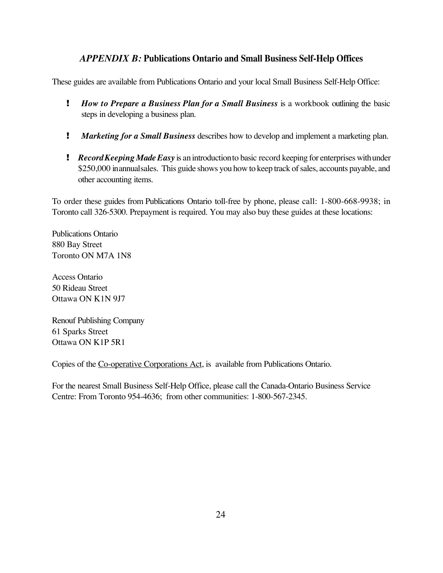# *APPENDIX B:* **Publications Ontario and Small Business Self-Help Offices**

These guides are available from Publications Ontario and your local Small Business Self-Help Office:

- ! *How to Prepare a Business Plan for a Small Business* is a workbook outlining the basic steps in developing a business plan.
- ! *Marketing for a Small Business* describes how to develop and implement a marketing plan.
- ! *RecordKeeping Made Easy* is anintroductionto basic record keeping for enterprises withunder \$250,000 inannual sales. This guide shows you how to keep track of sales, accounts payable, and other accounting items.

To order these guides from Publications Ontario toll-free by phone, please call: 1-800-668-9938; in Toronto call 326-5300. Prepayment is required. You may also buy these guides at these locations:

Publications Ontario 880 Bay Street Toronto ON M7A 1N8

Access Ontario 50 Rideau Street Ottawa ON K1N 9J7

Renouf Publishing Company 61 Sparks Street Ottawa ON K1P 5R1

Copies of the Co-operative Corporations Act, is available from Publications Ontario.

For the nearest Small Business Self-Help Office, please call the Canada-Ontario Business Service Centre: From Toronto 954-4636; from other communities: 1-800-567-2345.